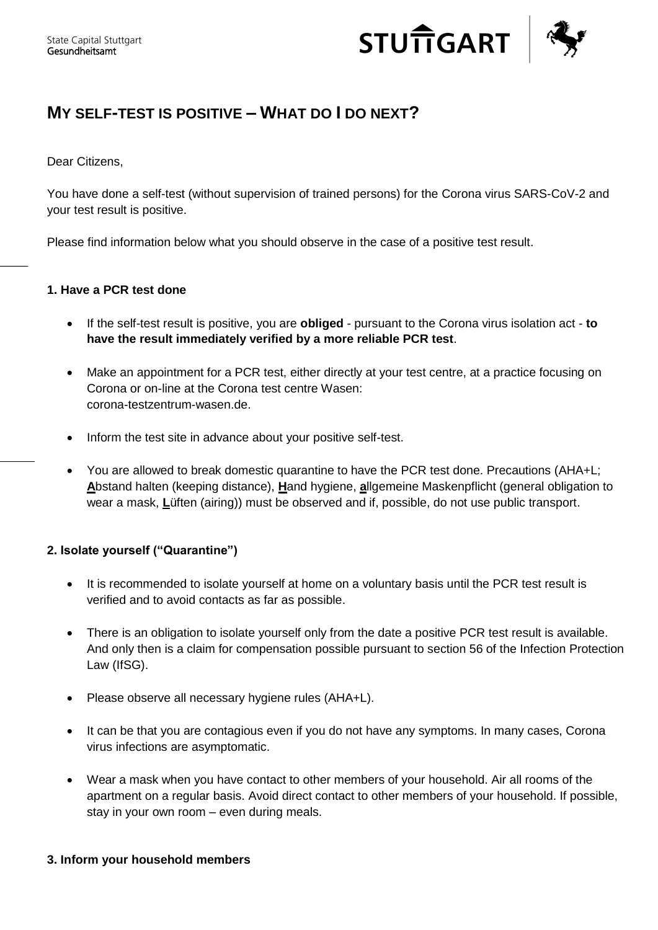

# **MY SELF-TEST IS POSITIVE – WHAT DO I DO NEXT ?**

Dear Citizens,

You have done a self-test (without supervision of trained persons) for the Corona virus SARS-CoV-2 and your test result is positive.

Please find information below what you should observe in the case of a positive test result.

### **1. Have a PCR test done**

- If the self-test result is positive, you are **obliged** pursuant to the Corona virus isolation act **to have the result immediately verified by a more reliable PCR test**.
- Make an appointment for a PCR test, either directly at your test centre, at a practice focusing on Corona or on-line at the Corona test centre Wasen: corona-testzentrum-wasen.de.
- Inform the test site in advance about your positive self-test.
- You are allowed to break domestic quarantine to have the PCR test done. Precautions (AHA+L; **A**bstand halten (keeping distance), **H**and hygiene, **a**llgemeine Maskenpflicht (general obligation to wear a mask, **L**üften (airing)) must be observed and if, possible, do not use public transport.

## **2. Isolate yourself ("Quarantine")**

- It is recommended to isolate yourself at home on a voluntary basis until the PCR test result is verified and to avoid contacts as far as possible.
- There is an obligation to isolate yourself only from the date a positive PCR test result is available. And only then is a claim for compensation possible pursuant to section 56 of the Infection Protection Law (IfSG).
- Please observe all necessary hygiene rules (AHA+L).
- It can be that you are contagious even if you do not have any symptoms. In many cases, Corona virus infections are asymptomatic.
- Wear a mask when you have contact to other members of your household. Air all rooms of the apartment on a regular basis. Avoid direct contact to other members of your household. If possible, stay in your own room – even during meals.

### **3. Inform your household members**